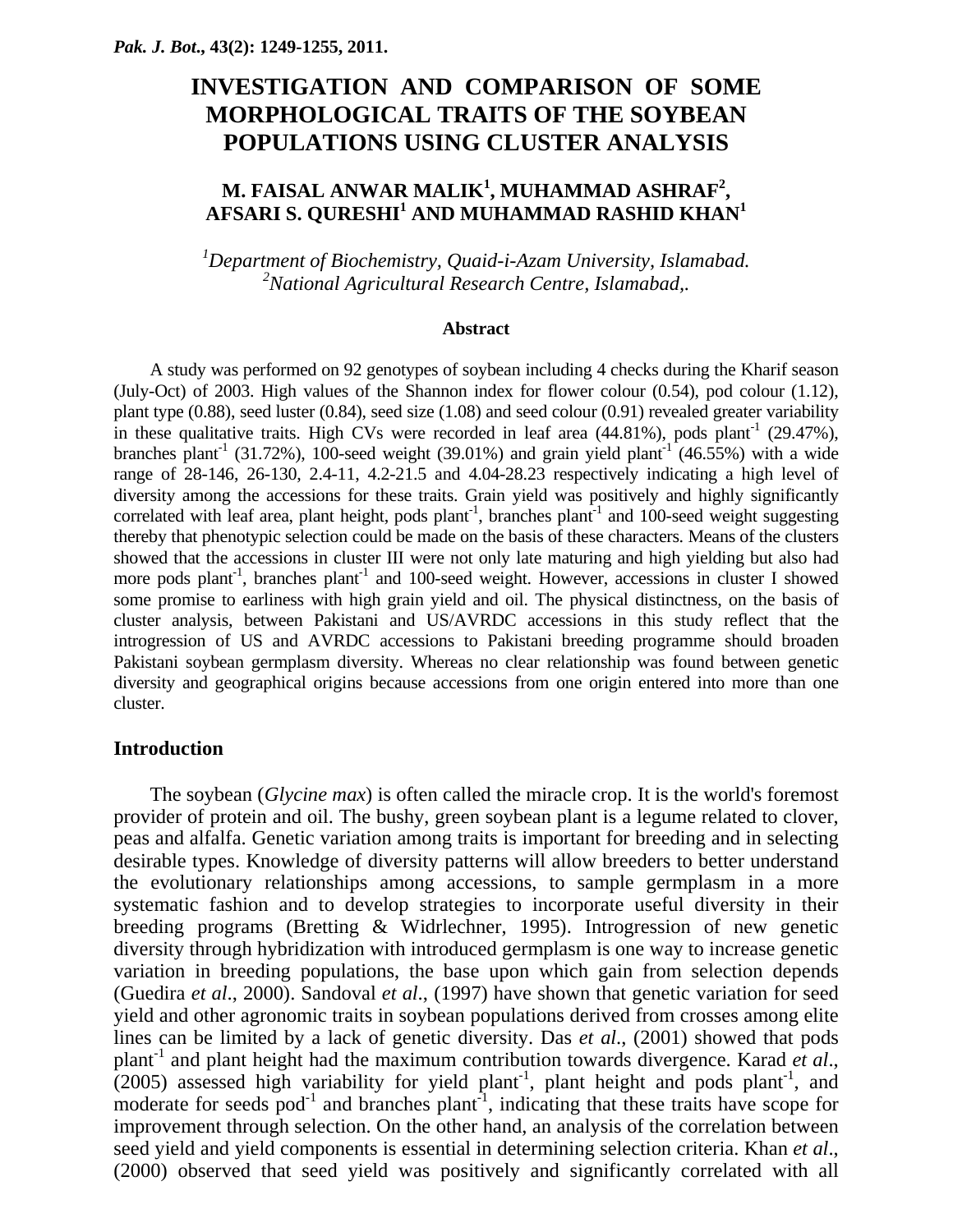# **INVESTIGATION AND COMPARISON OF SOME MORPHOLOGICAL TRAITS OF THE SOYBEAN POPULATIONS USING CLUSTER ANALYSIS**

# **M. FAISAL ANWAR MALIK<sup>1</sup> , MUHAMMAD ASHRAF2 , AFSARI S. QURESHI<sup>1</sup> AND MUHAMMAD RASHID KHAN<sup>1</sup>**

*1 Department of Biochemistry, Quaid-i-Azam University, Islamabad. 2 National Agricultural Research Centre, Islamabad,.* 

#### **Abstract**

A study was performed on 92 genotypes of soybean including 4 checks during the Kharif season (July-Oct) of 2003. High values of the Shannon index for flower colour (0.54), pod colour (1.12), plant type (0.88), seed luster (0.84), seed size (1.08) and seed colour (0.91) revealed greater variability in these qualitative traits. High CVs were recorded in leaf area  $(44.81\%)$ , pods plant<sup>-1</sup>  $(29.47\%)$ , branches plant<sup>-1</sup> (31.72%), 100-seed weight (39.01%) and grain yield plant<sup>-1</sup> (46.55%) with a wide range of 28-146, 26-130, 2.4-11, 4.2-21.5 and 4.04-28.23 respectively indicating a high level of diversity among the accessions for these traits. Grain yield was positively and highly significantly correlated with leaf area, plant height, pods plant<sup>-1</sup>, branches plant<sup>-1</sup> and 100-seed weight suggesting thereby that phenotypic selection could be made on the basis of these characters. Means of the clusters showed that the accessions in cluster III were not only late maturing and high yielding but also had more pods plant<sup>-1</sup>, branches plant<sup>-1</sup> and 100-seed weight. However, accessions in cluster I showed some promise to earliness with high grain yield and oil. The physical distinctness, on the basis of cluster analysis, between Pakistani and US/AVRDC accessions in this study reflect that the introgression of US and AVRDC accessions to Pakistani breeding programme should broaden Pakistani soybean germplasm diversity. Whereas no clear relationship was found between genetic diversity and geographical origins because accessions from one origin entered into more than one cluster.

# **Introduction**

The soybean (*Glycine max*) is often called the miracle crop. It is the world's foremost provider of protein and oil. The bushy, green soybean plant is a legume related to clover, peas and alfalfa. Genetic variation among traits is important for breeding and in selecting desirable types. Knowledge of diversity patterns will allow breeders to better understand the evolutionary relationships among accessions, to sample germplasm in a more systematic fashion and to develop strategies to incorporate useful diversity in their breeding programs (Bretting & Widrlechner, 1995). Introgression of new genetic diversity through hybridization with introduced germplasm is one way to increase genetic variation in breeding populations, the base upon which gain from selection depends (Guedira *et al*., 2000). Sandoval *et al*., (1997) have shown that genetic variation for seed yield and other agronomic traits in soybean populations derived from crosses among elite lines can be limited by a lack of genetic diversity. Das *et al*., (2001) showed that pods plant-1 and plant height had the maximum contribution towards divergence. Karad *et al*., (2005) assessed high variability for yield plant<sup>-1</sup>, plant height and pods plant<sup>-1</sup>, and moderate for seeds  $pod^{-1}$  and branches plant<sup>-1</sup>, indicating that these traits have scope for improvement through selection. On the other hand, an analysis of the correlation between seed yield and yield components is essential in determining selection criteria. Khan *et al*., (2000) observed that seed yield was positively and significantly correlated with all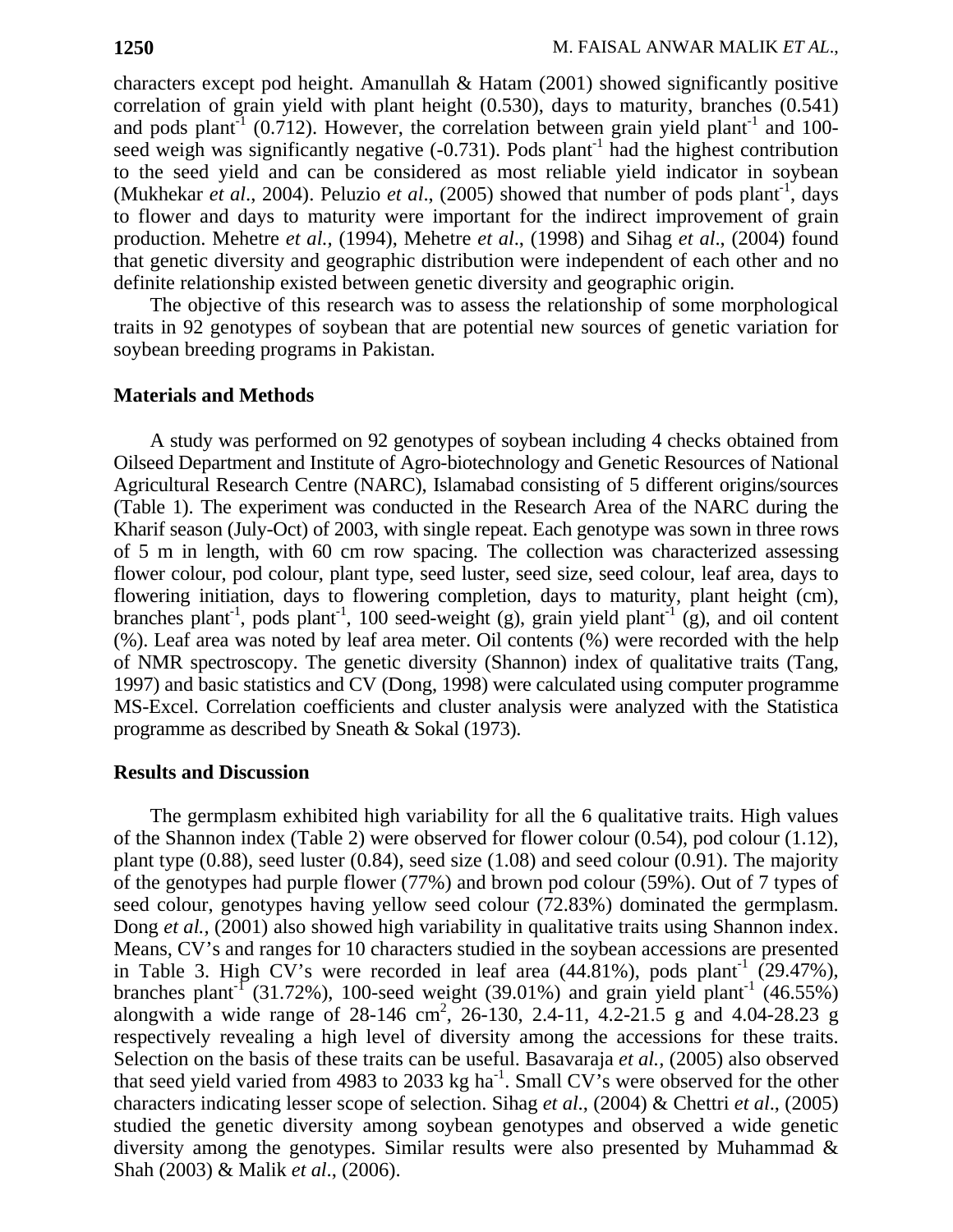characters except pod height. Amanullah & Hatam (2001) showed significantly positive correlation of grain yield with plant height (0.530), days to maturity, branches (0.541) and pods plant<sup>-1</sup> (0.712). However, the correlation between grain yield plant<sup>-1</sup> and 100seed weigh was significantly negative  $(-0.731)$ . Pods plant<sup>-1</sup> had the highest contribution to the seed yield and can be considered as most reliable yield indicator in soybean (Mukhekar *et al.*, 2004). Peluzio *et al.*, (2005) showed that number of pods plant<sup>-1</sup>, days to flower and days to maturity were important for the indirect improvement of grain production. Mehetre *et al.,* (1994), Mehetre *et al*., (1998) and Sihag *et al*., (2004) found that genetic diversity and geographic distribution were independent of each other and no definite relationship existed between genetic diversity and geographic origin.

The objective of this research was to assess the relationship of some morphological traits in 92 genotypes of soybean that are potential new sources of genetic variation for soybean breeding programs in Pakistan.

## **Materials and Methods**

A study was performed on 92 genotypes of soybean including 4 checks obtained from Oilseed Department and Institute of Agro-biotechnology and Genetic Resources of National Agricultural Research Centre (NARC), Islamabad consisting of 5 different origins/sources (Table 1). The experiment was conducted in the Research Area of the NARC during the Kharif season (July-Oct) of 2003, with single repeat. Each genotype was sown in three rows of 5 m in length, with 60 cm row spacing. The collection was characterized assessing flower colour, pod colour, plant type, seed luster, seed size, seed colour, leaf area, days to flowering initiation, days to flowering completion, days to maturity, plant height (cm), branches plant<sup>-1</sup>, pods plant<sup>-1</sup>, 100 seed-weight (g), grain yield plant<sup>-1</sup> (g), and oil content (%). Leaf area was noted by leaf area meter. Oil contents (%) were recorded with the help of NMR spectroscopy. The genetic diversity (Shannon) index of qualitative traits (Tang, 1997) and basic statistics and CV (Dong, 1998) were calculated using computer programme MS-Excel. Correlation coefficients and cluster analysis were analyzed with the Statistica programme as described by Sneath & Sokal (1973).

### **Results and Discussion**

The germplasm exhibited high variability for all the 6 qualitative traits. High values of the Shannon index (Table 2) were observed for flower colour (0.54), pod colour (1.12), plant type (0.88), seed luster (0.84), seed size (1.08) and seed colour (0.91). The majority of the genotypes had purple flower (77%) and brown pod colour (59%). Out of 7 types of seed colour, genotypes having yellow seed colour (72.83%) dominated the germplasm. Dong *et al.*, (2001) also showed high variability in qualitative traits using Shannon index. Means, CV's and ranges for 10 characters studied in the soybean accessions are presented in Table 3. High CV's were recorded in leaf area  $(44.81\%)$ , pods plant<sup>-1</sup>  $(29.47\%)$ , branches plant<sup>-1</sup> (31.72%), 100-seed weight (39.01%) and grain yield plant<sup>-1</sup> (46.55%) alongwith a wide range of  $28-146$  cm<sup>2</sup>,  $26-130$ ,  $2.4-11$ ,  $4.2-21.5$  g and  $4.04-28.23$  g respectively revealing a high level of diversity among the accessions for these traits. Selection on the basis of these traits can be useful. Basavaraja *et al.,* (2005) also observed that seed yield varied from 4983 to 2033 kg ha<sup>-1</sup>. Small CV's were observed for the other characters indicating lesser scope of selection. Sihag *et al*., (2004) & Chettri *et al*., (2005) studied the genetic diversity among soybean genotypes and observed a wide genetic diversity among the genotypes. Similar results were also presented by Muhammad & Shah (2003) & Malik *et al*., (2006).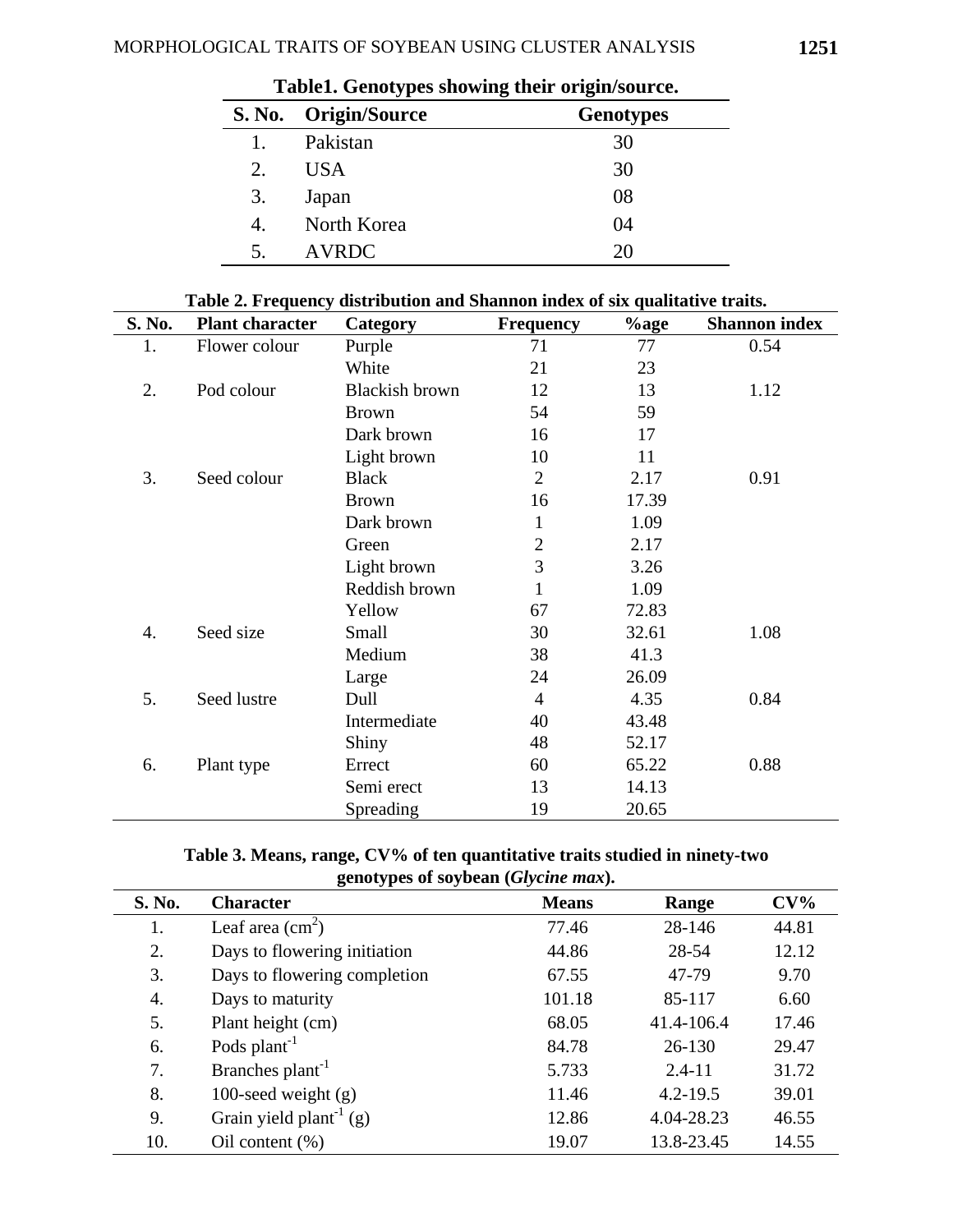| Tabici, Ochotypes showing their originsource. |                      |                  |  |  |  |  |  |
|-----------------------------------------------|----------------------|------------------|--|--|--|--|--|
| <b>S. No.</b>                                 | <b>Origin/Source</b> | <b>Genotypes</b> |  |  |  |  |  |
| 1.                                            | Pakistan             | 30               |  |  |  |  |  |
| 2.                                            | <b>USA</b>           | 30               |  |  |  |  |  |
| 3.                                            | Japan                | 08               |  |  |  |  |  |
| 4.                                            | North Korea          | 04               |  |  |  |  |  |
| 5.                                            | <b>AVRDC</b>         | 20               |  |  |  |  |  |

|  |  | Table1. Genotypes showing their origin/source. |
|--|--|------------------------------------------------|
|  |  |                                                |

| Table 2. Frequency distribution and Shannon index of six qualitative traits. |
|------------------------------------------------------------------------------|
|------------------------------------------------------------------------------|

| S. No. | <b>Plant character</b> | Table 2. Prequency distribution and Shannon mues of Six quantative traits.<br>Category | <b>Frequency</b> | $%$ age | <b>Shannon index</b> |
|--------|------------------------|----------------------------------------------------------------------------------------|------------------|---------|----------------------|
| 1.     | Flower colour          | Purple                                                                                 | 71               | 77      | 0.54                 |
|        |                        | White                                                                                  | 21               | 23      |                      |
| 2.     | Pod colour             | <b>Blackish brown</b>                                                                  | 12               | 13      | 1.12                 |
|        |                        | <b>Brown</b>                                                                           | 54               | 59      |                      |
|        |                        | Dark brown                                                                             | 16               | 17      |                      |
|        |                        | Light brown                                                                            | 10               | 11      |                      |
| 3.     | Seed colour            | <b>Black</b>                                                                           | $\overline{2}$   | 2.17    | 0.91                 |
|        |                        | <b>Brown</b>                                                                           | 16               | 17.39   |                      |
|        |                        | Dark brown                                                                             | 1                | 1.09    |                      |
|        |                        | Green                                                                                  | $\overline{2}$   | 2.17    |                      |
|        |                        | Light brown                                                                            | 3                | 3.26    |                      |
|        |                        | Reddish brown                                                                          | 1                | 1.09    |                      |
|        |                        | Yellow                                                                                 | 67               | 72.83   |                      |
| 4.     | Seed size              | Small                                                                                  | 30               | 32.61   | 1.08                 |
|        |                        | Medium                                                                                 | 38               | 41.3    |                      |
|        |                        | Large                                                                                  | 24               | 26.09   |                      |
| 5.     | Seed lustre            | Dull                                                                                   | $\overline{4}$   | 4.35    | 0.84                 |
|        |                        | Intermediate                                                                           | 40               | 43.48   |                      |
|        |                        | Shiny                                                                                  | 48               | 52.17   |                      |
| 6.     | Plant type             | Errect                                                                                 | 60               | 65.22   | 0.88                 |
|        |                        | Semi erect                                                                             | 13               | 14.13   |                      |
|        |                        | Spreading                                                                              | 19               | 20.65   |                      |

# **Table 3. Means, range, CV% of ten quantitative traits studied in ninety-two genotypes of soybean (***Glycine max***).**

| S. No. | . .<br><b>Character</b>             | <b>Means</b> | Range        | $CV\%$ |
|--------|-------------------------------------|--------------|--------------|--------|
| 1.     | Leaf area $\text{cm}^2$ )           | 77.46        | 28-146       | 44.81  |
| 2.     | Days to flowering initiation        | 44.86        | 28-54        | 12.12  |
| 3.     | Days to flowering completion        | 67.55        | 47-79        | 9.70   |
| 4.     | Days to maturity                    | 101.18       | 85-117       | 6.60   |
| 5.     | Plant height (cm)                   | 68.05        | 41.4-106.4   | 17.46  |
| 6.     | Pods plant <sup>-1</sup>            | 84.78        | $26 - 130$   | 29.47  |
| 7.     | Branches plant <sup>-1</sup>        | 5.733        | $2.4 - 11$   | 31.72  |
| 8.     | 100-seed weight $(g)$               | 11.46        | $4.2 - 19.5$ | 39.01  |
| 9.     | Grain yield plant <sup>-1</sup> (g) | 12.86        | 4.04-28.23   | 46.55  |
| 10.    | Oil content $(\%)$                  | 19.07        | 13.8-23.45   | 14.55  |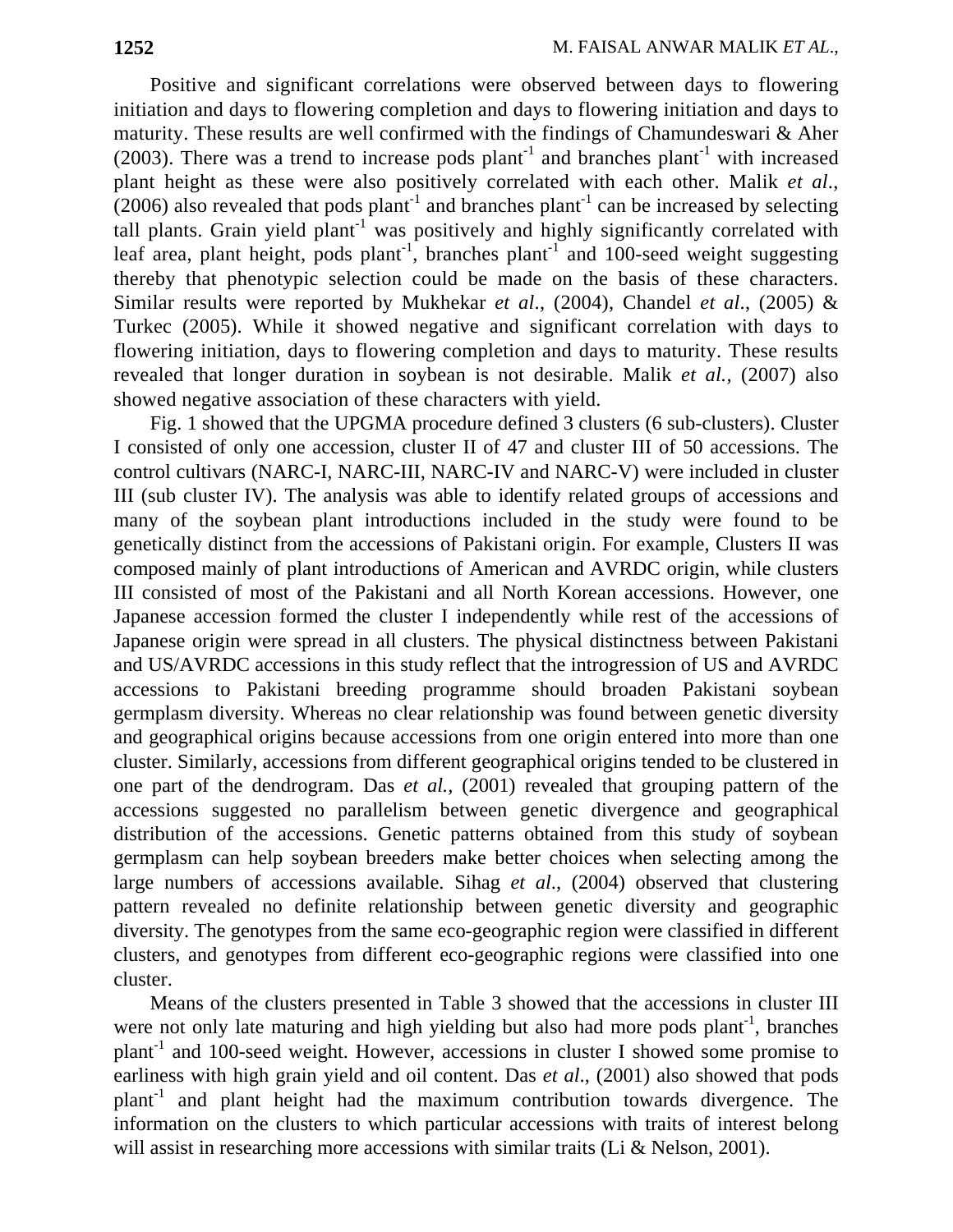Positive and significant correlations were observed between days to flowering initiation and days to flowering completion and days to flowering initiation and days to maturity. These results are well confirmed with the findings of Chamundeswari & Aher (2003). There was a trend to increase pods plant<sup>-1</sup> and branches plant<sup>-1</sup> with increased plant height as these were also positively correlated with each other. Malik *et al*.,  $(2006)$  also revealed that pods plant<sup>-1</sup> and branches plant<sup>-1</sup> can be increased by selecting tall plants. Grain yield plant<sup>-1</sup> was positively and highly significantly correlated with leaf area, plant height, pods plant<sup>-1</sup>, branches plant<sup>-1</sup> and 100-seed weight suggesting thereby that phenotypic selection could be made on the basis of these characters. Similar results were reported by Mukhekar *et al*., (2004), Chandel *et al*., (2005) & Turkec (2005). While it showed negative and significant correlation with days to flowering initiation, days to flowering completion and days to maturity. These results revealed that longer duration in soybean is not desirable. Malik *et al.,* (2007) also showed negative association of these characters with yield.

Fig. 1 showed that the UPGMA procedure defined 3 clusters (6 sub-clusters). Cluster I consisted of only one accession, cluster II of 47 and cluster III of 50 accessions. The control cultivars (NARC-I, NARC-III, NARC-IV and NARC-V) were included in cluster III (sub cluster IV). The analysis was able to identify related groups of accessions and many of the soybean plant introductions included in the study were found to be genetically distinct from the accessions of Pakistani origin. For example, Clusters II was composed mainly of plant introductions of American and AVRDC origin, while clusters III consisted of most of the Pakistani and all North Korean accessions. However, one Japanese accession formed the cluster I independently while rest of the accessions of Japanese origin were spread in all clusters. The physical distinctness between Pakistani and US/AVRDC accessions in this study reflect that the introgression of US and AVRDC accessions to Pakistani breeding programme should broaden Pakistani soybean germplasm diversity. Whereas no clear relationship was found between genetic diversity and geographical origins because accessions from one origin entered into more than one cluster. Similarly, accessions from different geographical origins tended to be clustered in one part of the dendrogram. Das *et al.,* (2001) revealed that grouping pattern of the accessions suggested no parallelism between genetic divergence and geographical distribution of the accessions. Genetic patterns obtained from this study of soybean germplasm can help soybean breeders make better choices when selecting among the large numbers of accessions available. Sihag *et al*., (2004) observed that clustering pattern revealed no definite relationship between genetic diversity and geographic diversity. The genotypes from the same eco-geographic region were classified in different clusters, and genotypes from different eco-geographic regions were classified into one cluster.

Means of the clusters presented in Table 3 showed that the accessions in cluster III were not only late maturing and high yielding but also had more pods plant<sup>-1</sup>, branches plant-1 and 100-seed weight. However, accessions in cluster I showed some promise to earliness with high grain yield and oil content. Das *et al*., (2001) also showed that pods  $plant^{-1}$  and plant height had the maximum contribution towards divergence. The information on the clusters to which particular accessions with traits of interest belong will assist in researching more accessions with similar traits (Li & Nelson, 2001).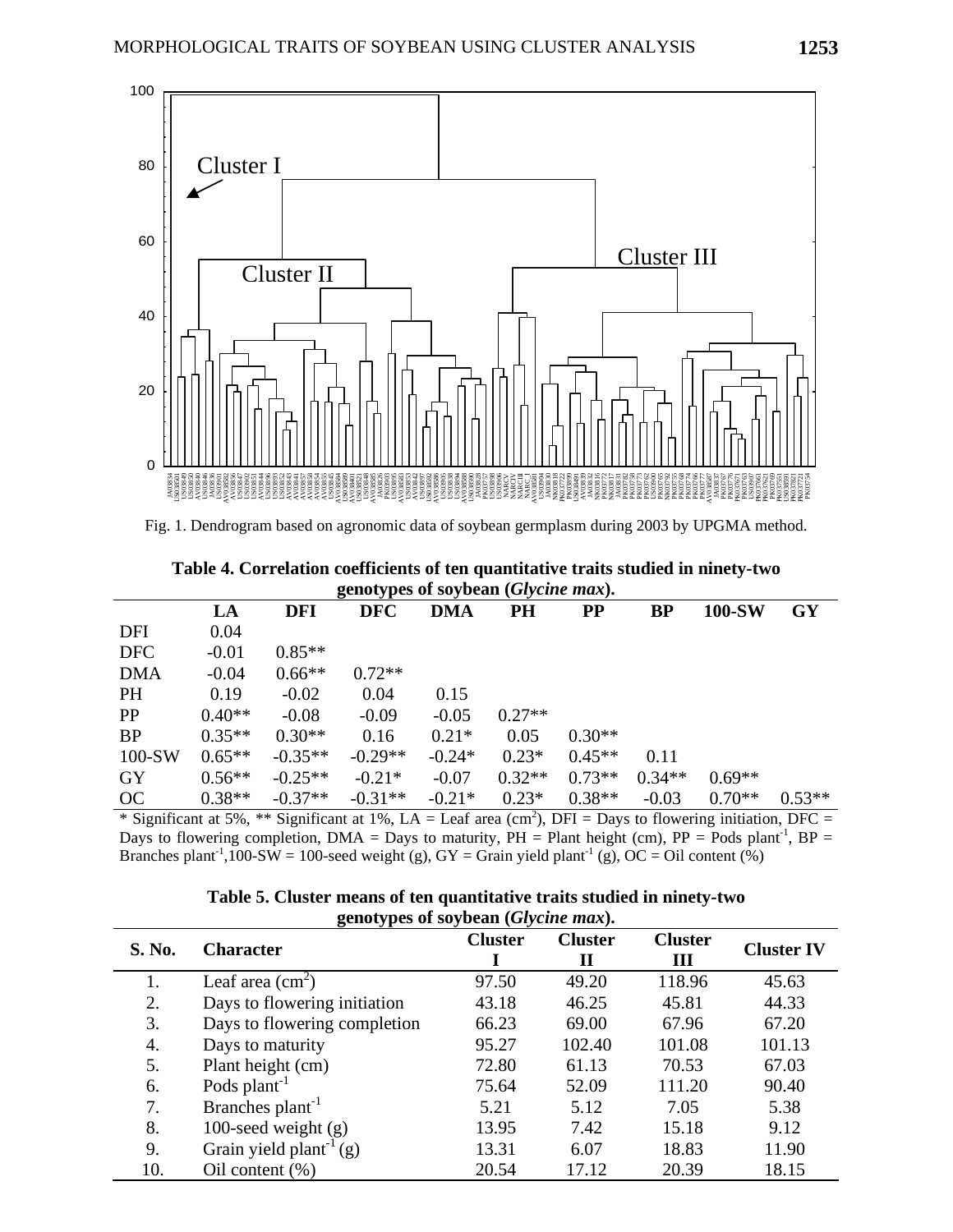

Fig. 1. Dendrogram based on agronomic data of soybean germplasm during 2003 by UPGMA method.

|                                              | Table 4. Correlation coefficients of ten quantitative traits studied in ninety-two |
|----------------------------------------------|------------------------------------------------------------------------------------|
| genotypes of soybean ( <i>Glycine max</i> ). |                                                                                    |

|            | LA       | <b>DFI</b> | 0<br>. .<br><b>DFC</b> | DMA      | <b>PH</b> | $\bf PP$ | BP       | 100-SW   | <b>GY</b> |
|------------|----------|------------|------------------------|----------|-----------|----------|----------|----------|-----------|
| DFI        | 0.04     |            |                        |          |           |          |          |          |           |
| <b>DFC</b> | $-0.01$  | $0.85**$   |                        |          |           |          |          |          |           |
| <b>DMA</b> | $-0.04$  | $0.66**$   | $0.72**$               |          |           |          |          |          |           |
| <b>PH</b>  | 0.19     | $-0.02$    | 0.04                   | 0.15     |           |          |          |          |           |
| <b>PP</b>  | $0.40**$ | $-0.08$    | $-0.09$                | $-0.05$  | $0.27**$  |          |          |          |           |
| <b>BP</b>  | $0.35**$ | $0.30**$   | 0.16                   | $0.21*$  | 0.05      | $0.30**$ |          |          |           |
| $100-SW$   | $0.65**$ | $-0.35**$  | $-0.29**$              | $-0.24*$ | $0.23*$   | $0.45**$ | 0.11     |          |           |
| <b>GY</b>  | $0.56**$ | $-0.25**$  | $-0.21*$               | $-0.07$  | $0.32**$  | $0.73**$ | $0.34**$ | $0.69**$ |           |
| OC         | $0.38**$ | $-0.37**$  | $-0.31**$              | $-0.21*$ | $0.23*$   | $0.38**$ | $-0.03$  | $0.70**$ | $0.53**$  |

\* Significant at 5%, \*\* Significant at 1%, LA = Leaf area (cm<sup>2</sup>), DFI = Days to flowering initiation, DFC = Days to flowering completion, DMA = Days to maturity,  $PH =$  Plant height (cm),  $PP =$  Pods plant<sup>-1</sup>,  $BP =$ Branches plant<sup>-1</sup>,100-SW = 100-seed weight (g), GY = Grain yield plant<sup>-1</sup> (g), OC = Oil content (%)

|               | $\sum$                              |                |                     |                     |                   |
|---------------|-------------------------------------|----------------|---------------------|---------------------|-------------------|
| <b>S. No.</b> | <b>Character</b>                    | <b>Cluster</b> | <b>Cluster</b><br>Н | <b>Cluster</b><br>Ш | <b>Cluster IV</b> |
| 1.            | Leaf area $\text{cm}^2$ )           | 97.50          | 49.20               | 118.96              | 45.63             |
| 2.            | Days to flowering initiation        | 43.18          | 46.25               | 45.81               | 44.33             |
| 3.            | Days to flowering completion        | 66.23          | 69.00               | 67.96               | 67.20             |
| 4.            | Days to maturity                    | 95.27          | 102.40              | 101.08              | 101.13            |
| 5.            | Plant height (cm)                   | 72.80          | 61.13               | 70.53               | 67.03             |
| 6.            | Pods plant <sup>-1</sup>            | 75.64          | 52.09               | 111.20              | 90.40             |
| 7.            | Branches plant <sup>-1</sup>        | 5.21           | 5.12                | 7.05                | 5.38              |
| 8.            | 100-seed weight $(g)$               | 13.95          | 7.42                | 15.18               | 9.12              |
| 9.            | Grain yield plant <sup>-1</sup> (g) | 13.31          | 6.07                | 18.83               | 11.90             |
| 10.           | Oil content $(\%)$                  | 20.54          | 17.12               | 20.39               | 18.15             |

**Table 5. Cluster means of ten quantitative traits studied in ninety-two genotypes of soybean (***Glycine max***).**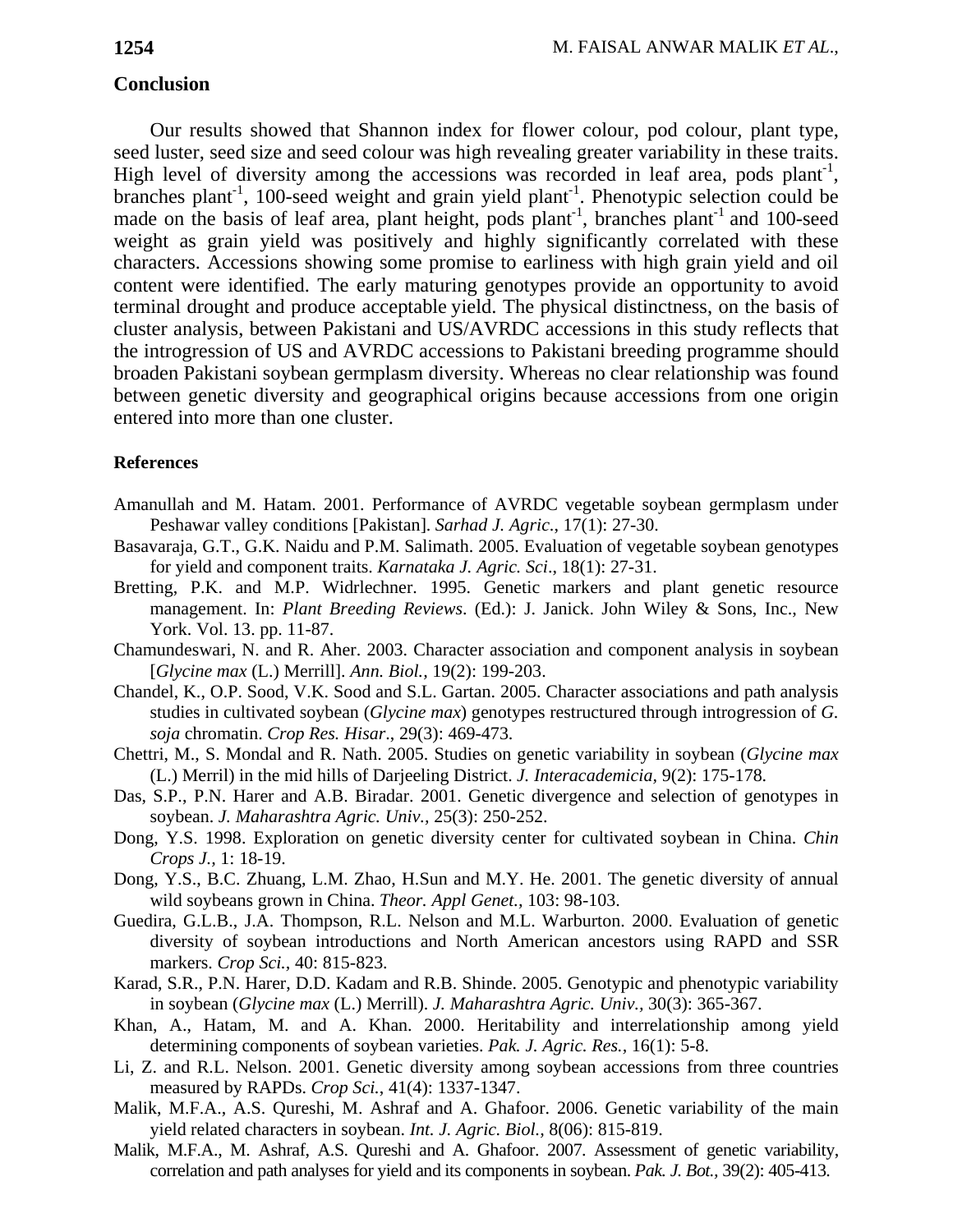### **Conclusion**

Our results showed that Shannon index for flower colour, pod colour, plant type, seed luster, seed size and seed colour was high revealing greater variability in these traits. High level of diversity among the accessions was recorded in leaf area, pods plant<sup>-1</sup>, branches plant<sup>-1</sup>, 100-seed weight and grain yield plant<sup>-1</sup>. Phenotypic selection could be made on the basis of leaf area, plant height, pods plant<sup>-1</sup>, branches plant<sup>-1</sup> and 100-seed weight as grain yield was positively and highly significantly correlated with these characters. Accessions showing some promise to earliness with high grain yield and oil content were identified. The early maturing genotypes provide an opportunity to avoid terminal drought and produce acceptable yield. The physical distinctness, on the basis of cluster analysis, between Pakistani and US/AVRDC accessions in this study reflects that the introgression of US and AVRDC accessions to Pakistani breeding programme should broaden Pakistani soybean germplasm diversity. Whereas no clear relationship was found between genetic diversity and geographical origins because accessions from one origin entered into more than one cluster.

#### **References**

- Amanullah and M. Hatam. 2001. Performance of AVRDC vegetable soybean germplasm under Peshawar valley conditions [Pakistan]. *Sarhad J. Agric*., 17(1): 27-30.
- Basavaraja, G.T., G.K. Naidu and P.M. Salimath. 2005. Evaluation of vegetable soybean genotypes for yield and component traits. *Karnataka J. Agric. Sci*., 18(1): 27-31.
- Bretting, P.K. and M.P. Widrlechner. 1995. Genetic markers and plant genetic resource management. In: *Plant Breeding Reviews*. (Ed.): J. Janick. John Wiley & Sons, Inc., New York. Vol. 13. pp. 11-87.
- Chamundeswari, N. and R. Aher. 2003. Character association and component analysis in soybean [*Glycine max* (L.) Merrill]. *Ann. Biol.,* 19(2): 199-203.
- Chandel, K., O.P. Sood, V.K. Sood and S.L. Gartan. 2005. Character associations and path analysis studies in cultivated soybean (*Glycine max*) genotypes restructured through introgression of *G. soja* chromatin. *Crop Res. Hisar*., 29(3): 469-473.
- Chettri, M., S. Mondal and R. Nath. 2005. Studies on genetic variability in soybean (*Glycine max* (L.) Merril) in the mid hills of Darjeeling District. *J. Interacademicia,* 9(2): 175-178.
- Das, S.P., P.N. Harer and A.B. Biradar. 2001. Genetic divergence and selection of genotypes in soybean. *J. Maharashtra Agric. Univ.,* 25(3): 250-252.
- Dong, Y.S. 1998. Exploration on genetic diversity center for cultivated soybean in China. *Chin Crops J.,* 1: 18-19.
- Dong, Y.S., B.C. Zhuang, L.M. Zhao, H.Sun and M.Y. He. 2001. The genetic diversity of annual wild soybeans grown in China. *Theor. Appl Genet.,* 103: 98-103.
- Guedira, G.L.B., J.A. Thompson, R.L. Nelson and M.L. Warburton. 2000. Evaluation of genetic diversity of soybean introductions and North American ancestors using RAPD and SSR markers. *Crop Sci.,* 40: 815-823.
- Karad, S.R., P.N. Harer, D.D. Kadam and R.B. Shinde. 2005. Genotypic and phenotypic variability in soybean (*Glycine max* (L.) Merrill). *J. Maharashtra Agric. Univ.,* 30(3): 365-367.
- Khan, A., Hatam, M. and A. Khan. 2000. Heritability and interrelationship among yield determining components of soybean varieties. *Pak. J. Agric. Res.,* 16(1): 5-8.
- Li, Z. and R.L. Nelson. 2001. Genetic diversity among soybean accessions from three countries measured by RAPDs. *Crop Sci.*, 41(4): 1337-1347.
- Malik, M.F.A., A.S. Qureshi, M. Ashraf and A. Ghafoor. 2006. Genetic variability of the main yield related characters in soybean. *Int. J. Agric. Biol.,* 8(06): 815-819.
- Malik, M.F.A., M. Ashraf, A.S. Qureshi and A. Ghafoor. 2007. Assessment of genetic variability, correlation and path analyses for yield and its components in soybean. *Pak. J. Bot.,* 39(2): 405-413.